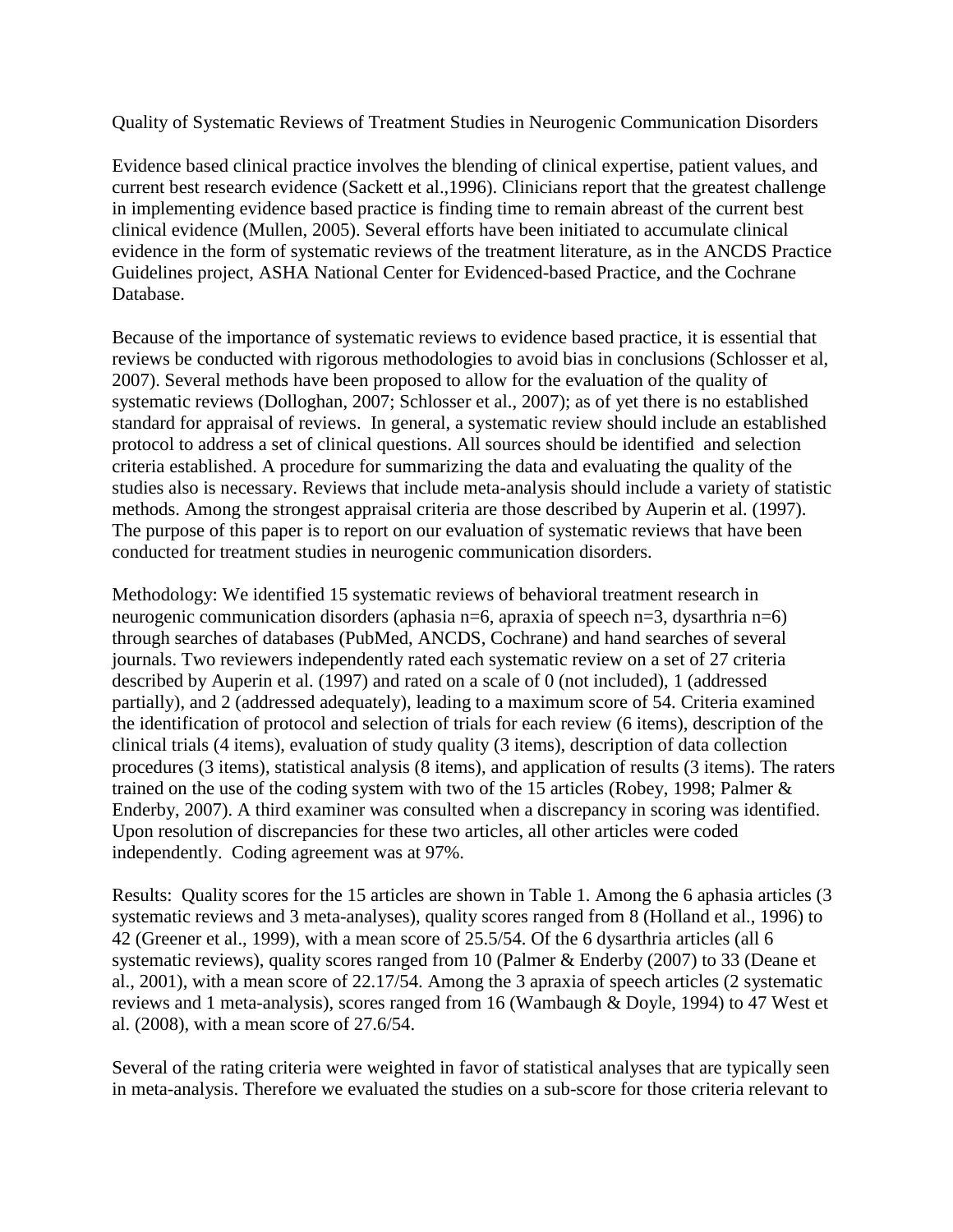Quality of Systematic Reviews of Treatment Studies in Neurogenic Communication Disorders

Evidence based clinical practice involves the blending of clinical expertise, patient values, and current best research evidence (Sackett et al.,1996). Clinicians report that the greatest challenge in implementing evidence based practice is finding time to remain abreast of the current best clinical evidence (Mullen, 2005). Several efforts have been initiated to accumulate clinical evidence in the form of systematic reviews of the treatment literature, as in the ANCDS Practice Guidelines project, ASHA National Center for Evidenced-based Practice, and the Cochrane Database.

Because of the importance of systematic reviews to evidence based practice, it is essential that reviews be conducted with rigorous methodologies to avoid bias in conclusions (Schlosser et al, 2007). Several methods have been proposed to allow for the evaluation of the quality of systematic reviews (Dolloghan, 2007; Schlosser et al., 2007); as of yet there is no established standard for appraisal of reviews. In general, a systematic review should include an established protocol to address a set of clinical questions. All sources should be identified and selection criteria established. A procedure for summarizing the data and evaluating the quality of the studies also is necessary. Reviews that include meta-analysis should include a variety of statistic methods. Among the strongest appraisal criteria are those described by Auperin et al. (1997). The purpose of this paper is to report on our evaluation of systematic reviews that have been conducted for treatment studies in neurogenic communication disorders.

Methodology: We identified 15 systematic reviews of behavioral treatment research in neurogenic communication disorders (aphasia n=6, apraxia of speech n=3, dysarthria n=6) through searches of databases (PubMed, ANCDS, Cochrane) and hand searches of several journals. Two reviewers independently rated each systematic review on a set of 27 criteria described by Auperin et al. (1997) and rated on a scale of 0 (not included), 1 (addressed partially), and 2 (addressed adequately), leading to a maximum score of 54. Criteria examined the identification of protocol and selection of trials for each review (6 items), description of the clinical trials (4 items), evaluation of study quality (3 items), description of data collection procedures (3 items), statistical analysis (8 items), and application of results (3 items). The raters trained on the use of the coding system with two of the 15 articles (Robey, 1998; Palmer & Enderby, 2007). A third examiner was consulted when a discrepancy in scoring was identified. Upon resolution of discrepancies for these two articles, all other articles were coded independently. Coding agreement was at 97%.

Results: Quality scores for the 15 articles are shown in Table 1. Among the 6 aphasia articles (3 systematic reviews and 3 meta-analyses), quality scores ranged from 8 (Holland et al., 1996) to 42 (Greener et al., 1999), with a mean score of 25.5/54. Of the 6 dysarthria articles (all 6 systematic reviews), quality scores ranged from 10 (Palmer & Enderby (2007) to 33 (Deane et al., 2001), with a mean score of 22.17/54. Among the 3 apraxia of speech articles (2 systematic reviews and 1 meta-analysis), scores ranged from 16 (Wambaugh & Doyle, 1994) to 47 West et al. (2008), with a mean score of 27.6/54.

Several of the rating criteria were weighted in favor of statistical analyses that are typically seen in meta-analysis. Therefore we evaluated the studies on a sub-score for those criteria relevant to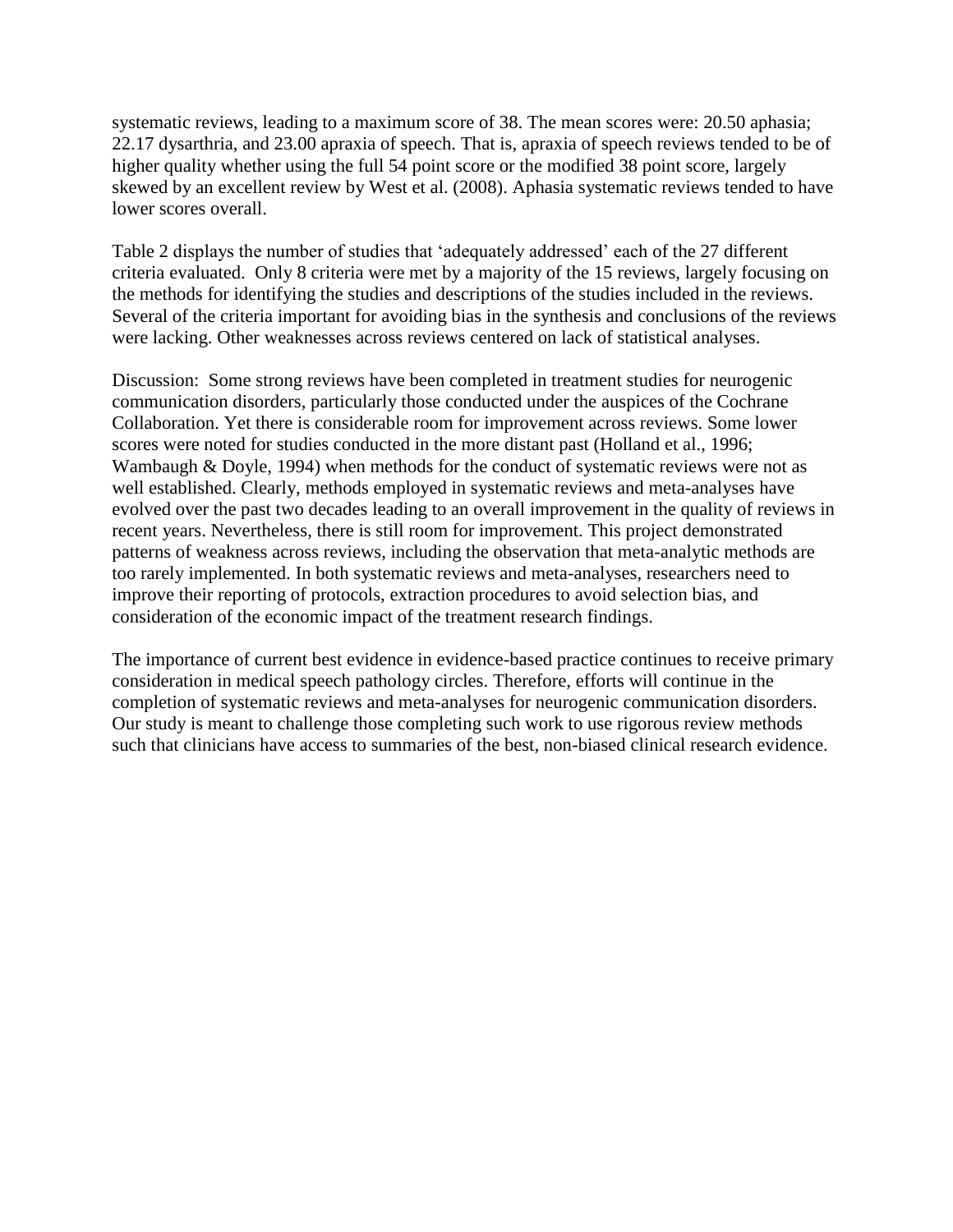systematic reviews, leading to a maximum score of 38. The mean scores were: 20.50 aphasia; 22.17 dysarthria, and 23.00 apraxia of speech. That is, apraxia of speech reviews tended to be of higher quality whether using the full 54 point score or the modified 38 point score, largely skewed by an excellent review by West et al. (2008). Aphasia systematic reviews tended to have lower scores overall.

Table 2 displays the number of studies that 'adequately addressed' each of the 27 different criteria evaluated. Only 8 criteria were met by a majority of the 15 reviews, largely focusing on the methods for identifying the studies and descriptions of the studies included in the reviews. Several of the criteria important for avoiding bias in the synthesis and conclusions of the reviews were lacking. Other weaknesses across reviews centered on lack of statistical analyses.

Discussion: Some strong reviews have been completed in treatment studies for neurogenic communication disorders, particularly those conducted under the auspices of the Cochrane Collaboration. Yet there is considerable room for improvement across reviews. Some lower scores were noted for studies conducted in the more distant past (Holland et al., 1996; Wambaugh & Doyle, 1994) when methods for the conduct of systematic reviews were not as well established. Clearly, methods employed in systematic reviews and meta-analyses have evolved over the past two decades leading to an overall improvement in the quality of reviews in recent years. Nevertheless, there is still room for improvement. This project demonstrated patterns of weakness across reviews, including the observation that meta-analytic methods are too rarely implemented. In both systematic reviews and meta-analyses, researchers need to improve their reporting of protocols, extraction procedures to avoid selection bias, and consideration of the economic impact of the treatment research findings.

The importance of current best evidence in evidence-based practice continues to receive primary consideration in medical speech pathology circles. Therefore, efforts will continue in the completion of systematic reviews and meta-analyses for neurogenic communication disorders. Our study is meant to challenge those completing such work to use rigorous review methods such that clinicians have access to summaries of the best, non-biased clinical research evidence.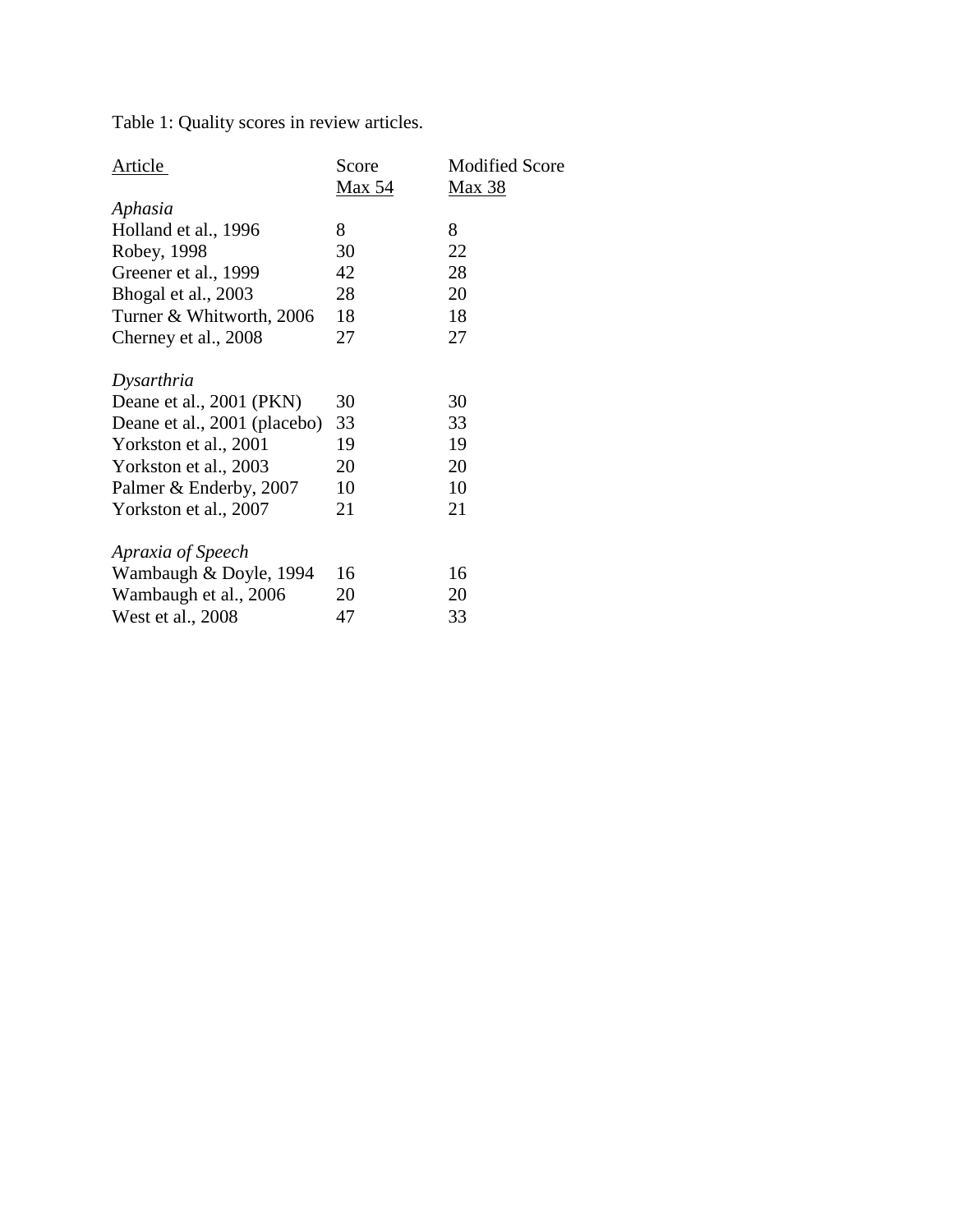Table 1: Quality scores in review articles.

| Article                      | Score  | <b>Modified Score</b> |
|------------------------------|--------|-----------------------|
|                              | Max 54 | <b>Max 38</b>         |
| Aphasia                      |        |                       |
| Holland et al., 1996         | 8      | 8                     |
| Robey, 1998                  | 30     | 22                    |
| Greener et al., 1999         | 42     | 28                    |
| Bhogal et al., 2003          | 28     | 20                    |
| Turner & Whitworth, 2006     | 18     | 18                    |
| Cherney et al., 2008         | 27     | 27                    |
| Dysarthria                   |        |                       |
| Deane et al., 2001 (PKN)     | 30     | 30                    |
| Deane et al., 2001 (placebo) | 33     | 33                    |
| Yorkston et al., 2001        | 19     | 19                    |
| Yorkston et al., 2003        | 20     | 20                    |
| Palmer & Enderby, 2007       | 10     | 10                    |
| Yorkston et al., 2007        | 21     | 21                    |
| Apraxia of Speech            |        |                       |
| Wambaugh & Doyle, 1994       | 16     | 16                    |
| Wambaugh et al., 2006        | 20     | 20                    |
| West et al., 2008            | 47     | 33                    |